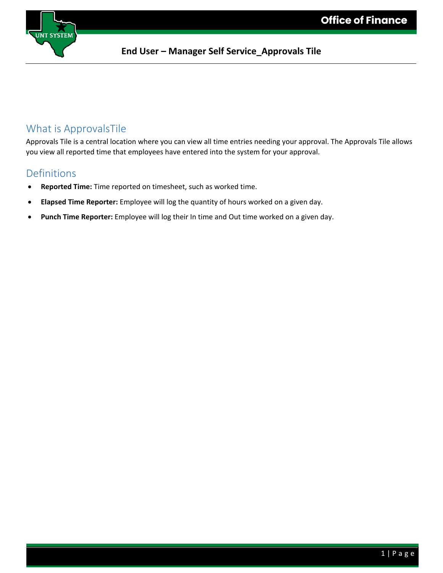

### What is ApprovalsTile

Approvals Tile is a central location where you can view all time entries needing your approval. The Approvals Tile allows you view all reported time that employees have entered into the system for your approval.

#### **Definitions**

- **Reported Time:** Time reported on timesheet, such as worked time.
- **Elapsed Time Reporter:** Employee will log the quantity of hours worked on a given day.
- **Punch Time Reporter:** Employee will log their In time and Out time worked on a given day.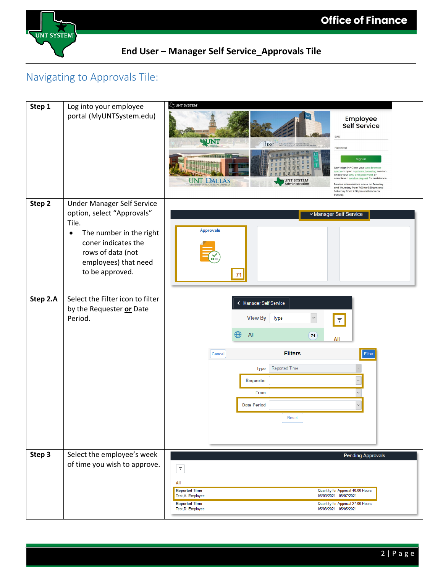

# Navigating to Approvals Tile:

| Step 1   | Log into your employee<br>portal (MyUNTSystem.edu)                                                                                                                                                      | VNT SYSTEM<br>Employee<br>Self Service<br>EUID<br>WNT<br>ASC <sup><sup>##</sup> THE UNIVERSITY of NORTH TEXAS</sup><br>Password<br>Sign in<br>Can't sign in? Clear your web brow<br>cache or open a private browsing session<br>Check your EUID and password, or<br>complete a service request for assistanc<br><b>UNT DALLAS</b><br><b>UNT SYSTEM</b><br>dministration<br>Service intermissions occur on Tuesday<br>and Thursday from 7:00 to 9:30 pm and<br>Saturday from 7:00 pm until noon on<br>Sunday. |
|----------|---------------------------------------------------------------------------------------------------------------------------------------------------------------------------------------------------------|--------------------------------------------------------------------------------------------------------------------------------------------------------------------------------------------------------------------------------------------------------------------------------------------------------------------------------------------------------------------------------------------------------------------------------------------------------------------------------------------------------------|
| Step 2   | <b>Under Manager Self Service</b><br>option, select "Approvals"<br>Tile.<br>The number in the right<br>$\bullet$<br>coner indicates the<br>rows of data (not<br>employees) that need<br>to be approved. | Manager Self Service<br><b>Approvals</b><br>71                                                                                                                                                                                                                                                                                                                                                                                                                                                               |
| Step 2.A | Select the Filter icon to filter<br>by the Requester or Date<br>Period.                                                                                                                                 | K Manager Self Service<br><b>View By</b><br>Type<br>$\mathcal{M}$<br>$\overline{\tau}$<br>All<br>71<br>All<br><b>Filters</b><br>Filter<br>Cancel<br><b>Reported Time</b><br><b>Type</b><br>Requester<br>From<br><b>Date Period</b><br>Reset                                                                                                                                                                                                                                                                  |
| Step 3   | Select the employee's week<br>of time you wish to approve.                                                                                                                                              | <b>Pending Approvals</b><br>$\overline{\chi}$<br>All<br><b>Reported Time</b><br>Quantity for Approval 40.00 Hours<br>Test, A. Employee<br>05/03/2021 - 05/07/2021<br><b>Reported Time</b><br>Quantity for Approval 27.00 Hours<br>Test, D. Employee<br>05/03/2021 - 05/05/2021                                                                                                                                                                                                                               |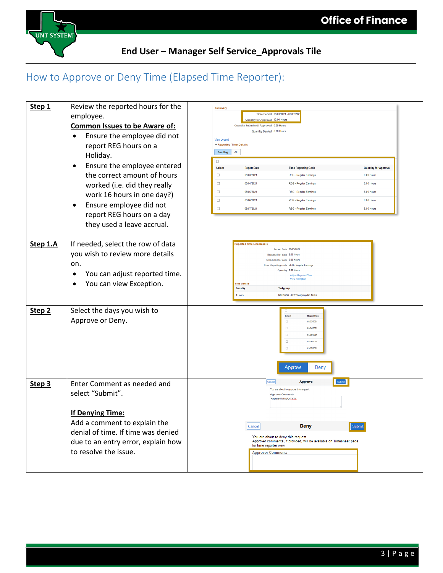

# How to Approve or Deny Time (Elapsed Time Reporter):

| Step 1            | Review the reported hours for the<br>employee.<br><b>Common Issues to be Aware of:</b><br>Ensure the employee did not<br>$\bullet$<br>report REG hours on a<br>Holiday.<br>Ensure the employee entered<br>$\bullet$<br>the correct amount of hours<br>worked (i.e. did they really<br>work 16 hours in one day?)<br>Ensure employee did not<br>$\bullet$<br>report REG hours on a day<br>they used a leave accrual. | <b>Summar</b><br>Time Period 05/03/2021 - 05/07/202<br>Quantity for Approval 40.00 Hours<br>Quantity Submitted/ Approved 0.00 Hours<br>Quantity Denied 0.00 Hours<br><b>View Legend</b><br>Reported Time Details<br>Pending<br>All<br>$\Box$<br>Select<br><b>Report Date</b><br><b>Time Reporting Code</b><br><b>Quantity for Approval</b><br>$\Box$<br>05/03/2021<br>REG - Regular Earnings<br>8.00 Hours<br>$\Box$<br>8.00 Hours<br>05/04/2021<br><b>REG - Regular Earnings</b><br>$\Box$<br>05/05/2021<br>REG - Regular Earnings<br>8.00 Hours<br>$\Box$<br>8.00 Hours<br>05/06/2021<br><b>REG - Regular Earnings</b><br>$\Box$<br>05/07/2021<br>REG - Regular Earnings<br>8.00 Hours |
|-------------------|---------------------------------------------------------------------------------------------------------------------------------------------------------------------------------------------------------------------------------------------------------------------------------------------------------------------------------------------------------------------------------------------------------------------|------------------------------------------------------------------------------------------------------------------------------------------------------------------------------------------------------------------------------------------------------------------------------------------------------------------------------------------------------------------------------------------------------------------------------------------------------------------------------------------------------------------------------------------------------------------------------------------------------------------------------------------------------------------------------------------|
| Step 1.A          | If needed, select the row of data<br>you wish to review more details<br>on.<br>You can adjust reported time.<br>$\bullet$<br>You can view Exception.                                                                                                                                                                                                                                                                | <b>Reported Time Line Details</b><br>Report Date 05/03/2021<br>Reported for date 8.00 Hours<br>Scheduled for date 0.00 Hours<br>Time Reporting code REG - Regular Earnings<br>Quantity 8.00 Hours<br>Adjust Reported Time<br><b>View Exceptio</b><br><b>Time details</b><br><b>Quantity</b><br>Taskgroup<br>NONTASK - UNT Taskgroup-No Tasks<br>8 Hours                                                                                                                                                                                                                                                                                                                                  |
| Step <sub>2</sub> | Select the days you wish to<br>Approve or Deny.                                                                                                                                                                                                                                                                                                                                                                     | Select<br><b>Report Date</b><br>$\Box$<br>05/03/2021<br>$\Box$<br>05/04/2021<br>$\Box$<br>05/05/2021<br>$\Box$<br>05/06/2021<br>$\Box$<br>05/07/202<br>Deny<br>Approve                                                                                                                                                                                                                                                                                                                                                                                                                                                                                                                   |
| Step 3            | Enter Comment as needed and<br>select "Submit".<br>If Denying Time:<br>Add a comment to explain the<br>denial of time. If time was denied<br>due to an entry error, explain how<br>to resolve the issue.                                                                                                                                                                                                            | Submit<br>Approve<br>Cancel<br>You are about to approve this request.<br><b>Approver Comments</b><br>Approved MM/DD/XXXX<br>Cancel<br><b>Deny</b><br>Submit<br>You are about to deny this request.<br>Approver comments, if provided, will be available on Timesheet page<br>for time reporter view.<br><b>Approver Comments</b>                                                                                                                                                                                                                                                                                                                                                         |